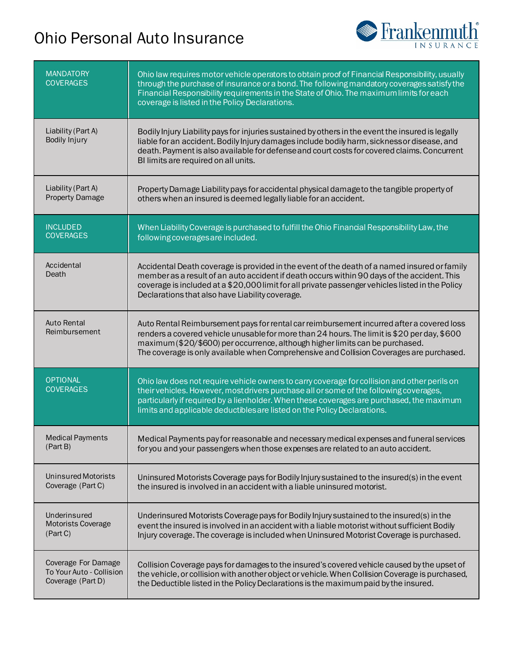## Ohio Personal Auto Insurance



| <b>MANDATORY</b><br><b>COVERAGES</b> | Ohio law requires motor vehicle operators to obtain proof of Financial Responsibility, usually<br>through the purchase of insurance or a bond. The following mandatory coverages satisfy the<br>Financial Responsibility requirements in the State of Ohio. The maximum limits for each<br>coverage is listed in the Policy Declarations.                             |
|--------------------------------------|-----------------------------------------------------------------------------------------------------------------------------------------------------------------------------------------------------------------------------------------------------------------------------------------------------------------------------------------------------------------------|
| Liability (Part A)<br>Bodily Injury  | Bodily Injury Liability pays for injuries sustained by others in the event the insured is legally<br>liable for an accident. Bodily Injury damages include bodily harm, sickness or disease, and<br>death. Payment is also available for defense and court costs for covered claims. Concurrent<br>BI limits are required on all units.                               |
| Liability (Part A)                   | Property Damage Liability pays for accidental physical damage to the tangible property of                                                                                                                                                                                                                                                                             |
| <b>Property Damage</b>               | others when an insured is deemed legally liable for an accident.                                                                                                                                                                                                                                                                                                      |
| <b>INCLUDED</b>                      | When Liability Coverage is purchased to fulfill the Ohio Financial Responsibility Law, the                                                                                                                                                                                                                                                                            |
| <b>COVERAGES</b>                     | following coverages are included.                                                                                                                                                                                                                                                                                                                                     |
| Accidental<br>Death                  | Accidental Death coverage is provided in the event of the death of a named insured or family<br>member as a result of an auto accident if death occurs within 90 days of the accident. This<br>coverage is included at a \$20,000 limit for all private passenger vehicles listed in the Policy<br>Declarations that also have Liability coverage.                    |
| <b>Auto Rental</b><br>Reimbursement  | Auto Rental Reimbursement pays for rental car reimbursement incurred after a covered loss<br>renders a covered vehicle unusable for more than 24 hours. The limit is \$20 per day, \$600<br>maximum (\$20/\$600) per occurrence, although higher limits can be purchased.<br>The coverage is only available when Comprehensive and Collision Coverages are purchased. |
| <b>OPTIONAL</b><br><b>COVERAGES</b>  | Ohio law does not require vehicle owners to carry coverage for collision and other perils on<br>their vehicles. However, most drivers purchase all or some of the following coverages,<br>particularly if required by a lienholder. When these coverages are purchased, the maximum<br>limits and applicable deductibles are listed on the Policy Declarations.       |
| Medical Payments                     | Medical Payments pay for reasonable and necessary medical expenses and funeral services                                                                                                                                                                                                                                                                               |
| (Part B)                             | for you and your passengers when those expenses are related to an auto accident.                                                                                                                                                                                                                                                                                      |
| <b>Uninsured Motorists</b>           | Uninsured Motorists Coverage pays for Bodily Injury sustained to the insured(s) in the event                                                                                                                                                                                                                                                                          |
| Coverage (Part C)                    | the insured is involved in an accident with a liable uninsured motorist.                                                                                                                                                                                                                                                                                              |
| Underinsured                         | Underinsured Motorists Coverage pays for Bodily Injury sustained to the insured(s) in the                                                                                                                                                                                                                                                                             |
| <b>Motorists Coverage</b>            | event the insured is involved in an accident with a liable motorist without sufficient Bodily                                                                                                                                                                                                                                                                         |
| (Part C)                             | Injury coverage. The coverage is included when Uninsured Motorist Coverage is purchased.                                                                                                                                                                                                                                                                              |
| Coverage For Damage                  | Collision Coverage pays for damages to the insured's covered vehicle caused by the upset of                                                                                                                                                                                                                                                                           |
| To Your Auto - Collision             | the vehicle, or collision with another object or vehicle. When Collision Coverage is purchased,                                                                                                                                                                                                                                                                       |
| Coverage (Part D)                    | the Deductible listed in the Policy Declarations is the maximum paid by the insured.                                                                                                                                                                                                                                                                                  |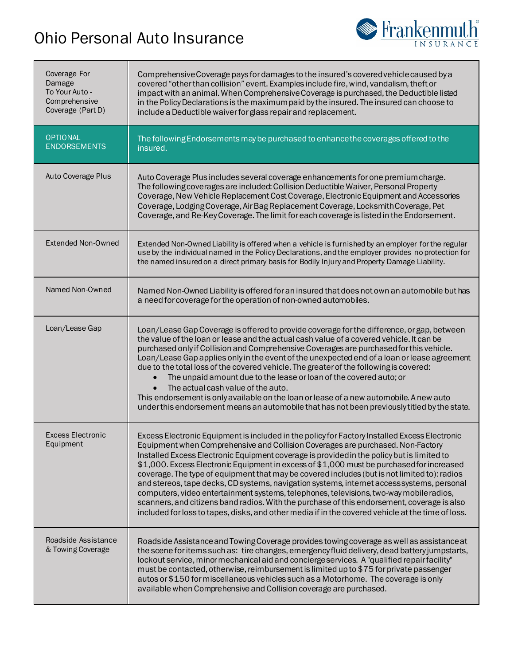## Ohio Personal Auto Insurance



| Coverage For<br>Damage<br>To Your Auto -<br>Comprehensive<br>Coverage (Part D) | Comprehensive Coverage pays for damages to the insured's covered vehicle caused by a<br>covered "other than collision" event. Examples include fire, wind, vandalism, theft or<br>impact with an animal. When Comprehensive Coverage is purchased, the Deductible listed<br>in the Policy Declarations is the maximum paid by the insured. The insured can choose to<br>include a Deductible waiver for glass repair and replacement.                                                                                                                                                                                                                                                                                                                                                                                                                                    |
|--------------------------------------------------------------------------------|--------------------------------------------------------------------------------------------------------------------------------------------------------------------------------------------------------------------------------------------------------------------------------------------------------------------------------------------------------------------------------------------------------------------------------------------------------------------------------------------------------------------------------------------------------------------------------------------------------------------------------------------------------------------------------------------------------------------------------------------------------------------------------------------------------------------------------------------------------------------------|
| <b>OPTIONAL</b><br><b>ENDORSEMENTS</b>                                         | The following Endorsements may be purchased to enhance the coverages offered to the<br>insured.                                                                                                                                                                                                                                                                                                                                                                                                                                                                                                                                                                                                                                                                                                                                                                          |
| Auto Coverage Plus                                                             | Auto Coverage Plus includes several coverage enhancements for one premium charge.<br>The following coverages are included: Collision Deductible Waiver, Personal Property<br>Coverage, New Vehicle Replacement Cost Coverage, Electronic Equipment and Accessories<br>Coverage, Lodging Coverage, Air Bag Replacement Coverage, Locksmith Coverage, Pet<br>Coverage, and Re-Key Coverage. The limit for each coverage is listed in the Endorsement.                                                                                                                                                                                                                                                                                                                                                                                                                      |
| <b>Extended Non-Owned</b>                                                      | Extended Non-Owned Liability is offered when a vehicle is furnished by an employer for the regular<br>use by the individual named in the Policy Declarations, and the employer provides no protection for<br>the named insured on a direct primary basis for Bodily Injury and Property Damage Liability.                                                                                                                                                                                                                                                                                                                                                                                                                                                                                                                                                                |
| Named Non-Owned                                                                | Named Non-Owned Liability is offered for an insured that does not own an automobile but has<br>a need for coverage for the operation of non-owned automobiles.                                                                                                                                                                                                                                                                                                                                                                                                                                                                                                                                                                                                                                                                                                           |
| Loan/Lease Gap                                                                 | Loan/Lease Gap Coverage is offered to provide coverage for the difference, or gap, between<br>the value of the loan or lease and the actual cash value of a covered vehicle. It can be<br>purchased only if Collision and Comprehensive Coverages are purchased for this vehicle.<br>Loan/Lease Gap applies only in the event of the unexpected end of a loan or lease agreement<br>due to the total loss of the covered vehicle. The greater of the following is covered:<br>The unpaid amount due to the lease or loan of the covered auto; or<br>$\bullet$<br>The actual cash value of the auto.<br>$\bullet$<br>This endorsement is only available on the loan or lease of a new automobile. A new auto<br>under this endorsement means an automobile that has not been previously titled by the state.                                                              |
| <b>Excess Electronic</b><br>Equipment                                          | Excess Electronic Equipment is included in the policy for Factory Installed Excess Electronic<br>Equipment when Comprehensive and Collision Coverages are purchased. Non-Factory<br>Installed Excess Electronic Equipment coverage is provided in the policy but is limited to<br>\$1,000. Excess Electronic Equipment in excess of \$1,000 must be purchased for increased<br>coverage. The type of equipment that may be covered includes (but is not limited to): radios<br>and stereos, tape decks, CD systems, navigation systems, internet access systems, personal<br>computers, video entertainment systems, telephones, televisions, two-way mobile radios,<br>scanners, and citizens band radios. With the purchase of this endorsement, coverage is also<br>included for loss to tapes, disks, and other media if in the covered vehicle at the time of loss. |
| Roadside Assistance<br>& Towing Coverage                                       | Roadside Assistance and Towing Coverage provides towing coverage as well as assistance at<br>the scene for items such as: tire changes, emergency fluid delivery, dead battery jumpstarts,<br>lockout service, minor mechanical aid and concierge services. A "qualified repair facility"<br>must be contacted, otherwise, reimbursement is limited up to \$75 for private passenger<br>autos or \$150 for miscellaneous vehicles such as a Motorhome. The coverage is only<br>available when Comprehensive and Collision coverage are purchased.                                                                                                                                                                                                                                                                                                                        |